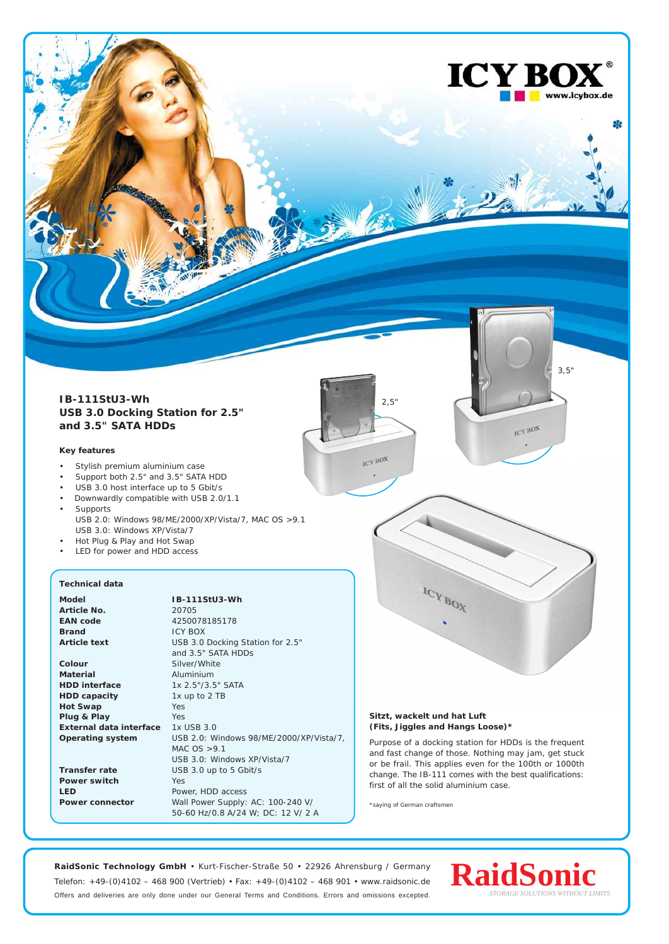

## **Key features**

- Stylish premium aluminium case
- Support both 2.5" and 3.5" SATA HDD
- USB 3.0 host interface up to 5 Gbit/s
- Downwardly compatible with USB 2.0/1.1 **Supports** USB 2.0: Windows 98/ME/2000/XP/Vista/7, MAC OS >9.1
- USB 3.0: Windows XP/Vista/7 • Hot Plug & Play and Hot Swap
- LED for power and HDD access

## **Technical data Model IB-111StU3-Wh Article No.** 20705

**Brand** ICY BOX **Colour** Silver/White

**Material** Aluminium **HDD interface** 1x 2.5"/3.5" SATA<br> **HDD capacity** 1x up to 2 TB **HDD** capacity **Hot Swap** Yes **Plug & Play** Yes **External data interface** 1x USB 3.0

**Power switch** Yes

**EAN code** 4250078185178 **Article text** USB 3.0 Docking Station for 2.5" and 3.5" SATA HDDs **Operating system** USB 2.0: Windows 98/ME/2000/XP/Vista/7, MAC  $OS > 9.1$ USB 3.0: Windows XP/Vista/7 **Transfer rate** USB 3.0 up to 5 Gbit/s **LED** Power, HDD access **Power connector** Wall Power Supply: AC: 100-240 V/ 50-60 Hz/0.8 A/24 W; DC: 12 V/ 2 A



3,5"

ICY BOX

ICY BO

www.icybox.de

₩

**Sitzt, wackelt und hat Luft (Fits, Jiggles and Hangs Loose)\***

**ICY BOX** 

Purpose of a docking station for HDDs is the frequent and fast change of those. Nothing may jam, get stuck or be frail. This applies even for the 100th or 1000th change. The IB-111 comes with the best qualifications: first of all the solid aluminium case.

\*saying of German craftsmen

**RaidSonic Technology GmbH** • Kurt-Fischer-Straße 50 • 22926 Ahrensburg / Germany Telefon: +49-(0)4102 – 468 900 (Vertrieb) • Fax: +49-(0)4102 – 468 901 • www.raidsonic.de Offers and deliveries are only done under our General Terms and Conditions. Errors and omissions excepted.